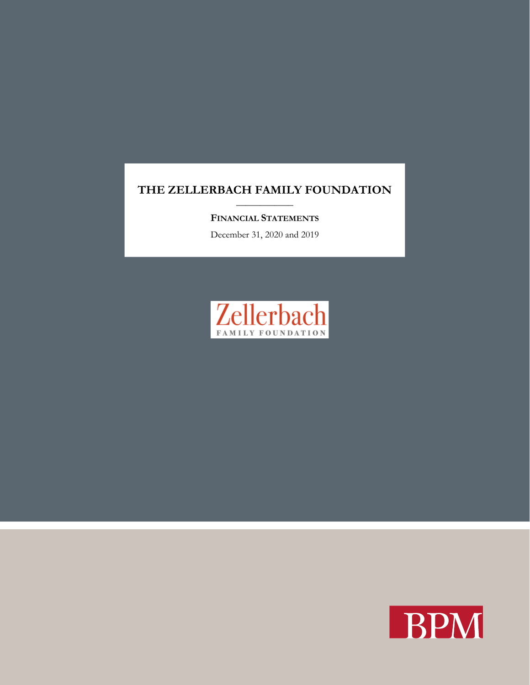## **THE ZELLERBACH FAMILY FOUNDATION**  \_\_\_\_\_\_\_\_\_\_\_\_

**FINANCIAL STATEMENTS**

December 31, 2020 and 2019



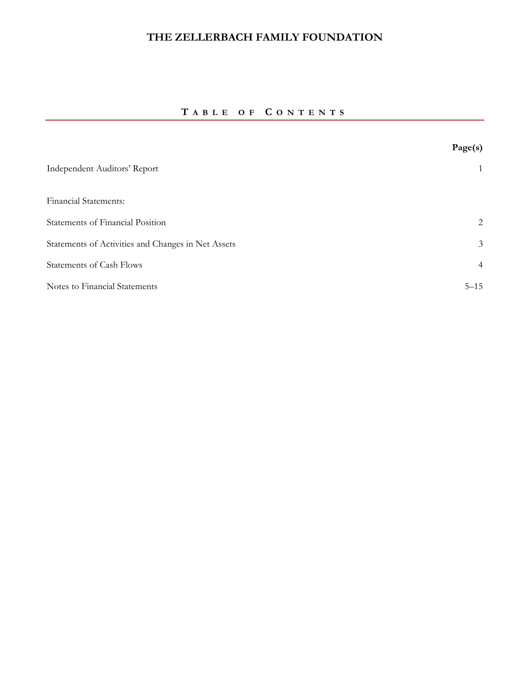# **T ABLE OF C ONTENTS**

|                                                    | Page(s)        |
|----------------------------------------------------|----------------|
| Independent Auditors' Report                       | $\mathbf{1}$   |
| <b>Financial Statements:</b>                       |                |
| Statements of Financial Position                   | 2              |
| Statements of Activities and Changes in Net Assets | 3              |
| <b>Statements of Cash Flows</b>                    | $\overline{4}$ |
| Notes to Financial Statements                      | $5 - 15$       |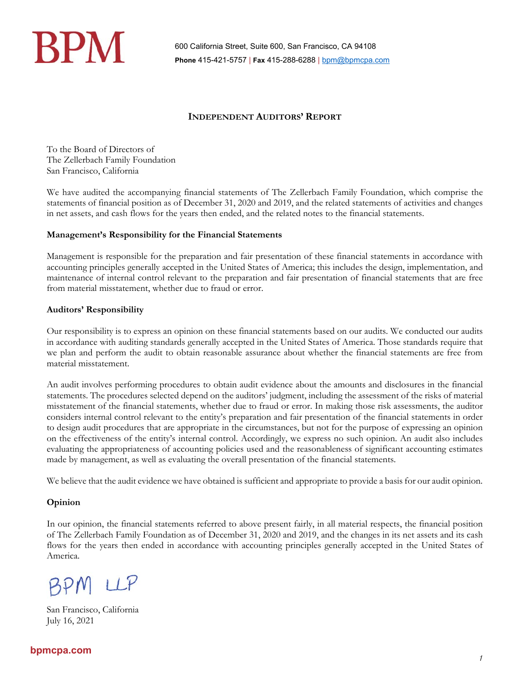

## **INDEPENDENT AUDITORS' REPORT**

To the Board of Directors of The Zellerbach Family Foundation San Francisco, California

We have audited the accompanying financial statements of The Zellerbach Family Foundation, which comprise the statements of financial position as of December 31, 2020 and 2019, and the related statements of activities and changes in net assets, and cash flows for the years then ended, and the related notes to the financial statements.

## **Management's Responsibility for the Financial Statements**

Management is responsible for the preparation and fair presentation of these financial statements in accordance with accounting principles generally accepted in the United States of America; this includes the design, implementation, and maintenance of internal control relevant to the preparation and fair presentation of financial statements that are free from material misstatement, whether due to fraud or error.

## **Auditors' Responsibility**

Our responsibility is to express an opinion on these financial statements based on our audits. We conducted our audits in accordance with auditing standards generally accepted in the United States of America. Those standards require that we plan and perform the audit to obtain reasonable assurance about whether the financial statements are free from material misstatement.

An audit involves performing procedures to obtain audit evidence about the amounts and disclosures in the financial statements. The procedures selected depend on the auditors' judgment, including the assessment of the risks of material misstatement of the financial statements, whether due to fraud or error. In making those risk assessments, the auditor considers internal control relevant to the entity's preparation and fair presentation of the financial statements in order to design audit procedures that are appropriate in the circumstances, but not for the purpose of expressing an opinion on the effectiveness of the entity's internal control. Accordingly, we express no such opinion. An audit also includes evaluating the appropriateness of accounting policies used and the reasonableness of significant accounting estimates made by management, as well as evaluating the overall presentation of the financial statements.

We believe that the audit evidence we have obtained is sufficient and appropriate to provide a basis for our audit opinion.

## **Opinion**

In our opinion, the financial statements referred to above present fairly, in all material respects, the financial position of The Zellerbach Family Foundation as of December 31, 2020 and 2019, and the changes in its net assets and its cash flows for the years then ended in accordance with accounting principles generally accepted in the United States of America.

San Francisco, California July 16, 2021

## **bpmcpa.com**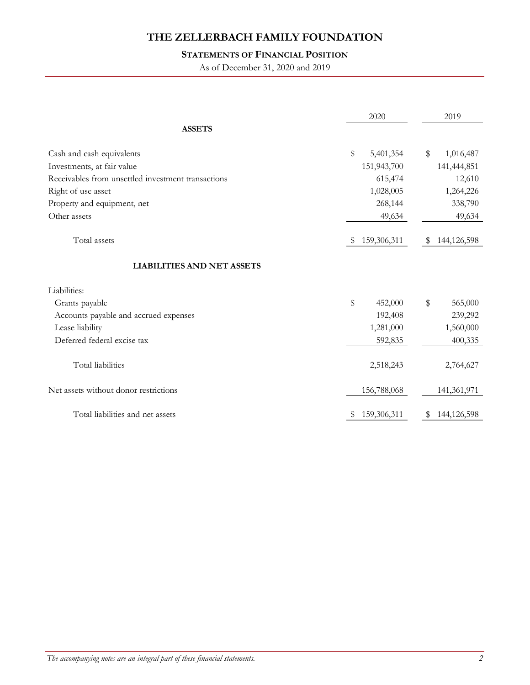# **STATEMENTS OF FINANCIAL POSITION**

As of December 31, 2020 and 2019

|                                                    | 2020              | 2019                 |
|----------------------------------------------------|-------------------|----------------------|
| <b>ASSETS</b>                                      |                   |                      |
| Cash and cash equivalents                          | \$<br>5,401,354   | \$<br>1,016,487      |
| Investments, at fair value                         | 151,943,700       | 141,444,851          |
| Receivables from unsettled investment transactions | 615,474           | 12,610               |
| Right of use asset                                 | 1,028,005         | 1,264,226            |
| Property and equipment, net                        | 268,144           | 338,790              |
| Other assets                                       | 49,634            | 49,634               |
| Total assets                                       | 159,306,311<br>\$ | 144, 126, 598<br>S   |
| <b>LIABILITIES AND NET ASSETS</b>                  |                   |                      |
| Liabilities:                                       |                   |                      |
| Grants payable                                     | \$<br>452,000     | \$<br>565,000        |
| Accounts payable and accrued expenses              | 192,408           | 239,292              |
| Lease liability                                    | 1,281,000         | 1,560,000            |
| Deferred federal excise tax                        | 592,835           | 400,335              |
| Total liabilities                                  | 2,518,243         | 2,764,627            |
| Net assets without donor restrictions              | 156,788,068       | 141,361,971          |
| Total liabilities and net assets                   | 159,306,311<br>Ж  | 144, 126, 598<br>SS. |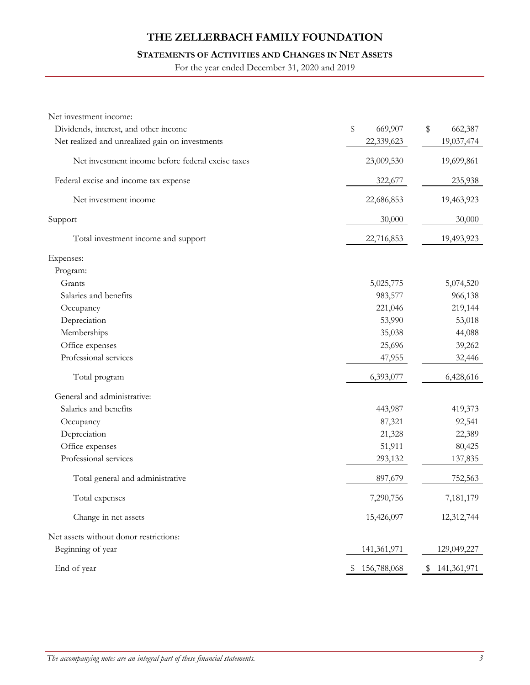## **STATEMENTS OF ACTIVITIES AND CHANGES IN NET ASSETS**

For the year ended December 31, 2020 and 2019

| Net investment income:                            |               |                  |
|---------------------------------------------------|---------------|------------------|
| Dividends, interest, and other income             | \$<br>669,907 | \$<br>662,387    |
| Net realized and unrealized gain on investments   | 22,339,623    | 19,037,474       |
| Net investment income before federal excise taxes | 23,009,530    | 19,699,861       |
| Federal excise and income tax expense             | 322,677       | 235,938          |
| Net investment income                             | 22,686,853    | 19,463,923       |
| Support                                           | 30,000        | 30,000           |
| Total investment income and support               | 22,716,853    | 19,493,923       |
| Expenses:                                         |               |                  |
| Program:                                          |               |                  |
| Grants                                            | 5,025,775     | 5,074,520        |
| Salaries and benefits                             | 983,577       | 966,138          |
| Occupancy                                         | 221,046       | 219,144          |
| Depreciation                                      | 53,990        | 53,018           |
| Memberships                                       | 35,038        | 44,088           |
| Office expenses                                   | 25,696        | 39,262           |
| Professional services                             | 47,955        | 32,446           |
| Total program                                     | 6,393,077     | 6,428,616        |
| General and administrative:                       |               |                  |
| Salaries and benefits                             | 443,987       | 419,373          |
| Occupancy                                         | 87,321        | 92,541           |
| Depreciation                                      | 21,328        | 22,389           |
| Office expenses                                   | 51,911        | 80,425           |
| Professional services                             | 293,132       | 137,835          |
| Total general and administrative                  | 897,679       | 752,563          |
| Total expenses                                    | 7,290,756     | 7,181,179        |
| Change in net assets                              | 15,426,097    | 12,312,744       |
| Net assets without donor restrictions:            |               |                  |
| Beginning of year                                 | 141,361,971   | 129,049,227      |
| End of year                                       | 156,788,068   | 141,361,971<br>S |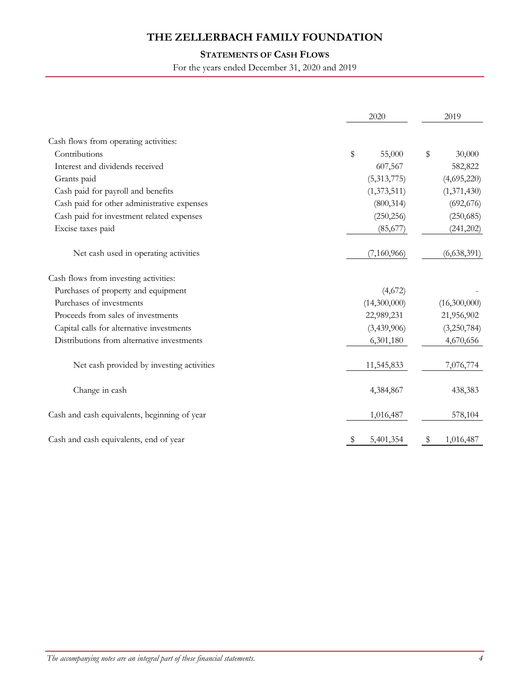# **STATEMENTS OF CASH FLOWS**

For the years ended December 31, 2020 and 2019

|                                              | 2020         | 2019         |
|----------------------------------------------|--------------|--------------|
| Cash flows from operating activities:        |              |              |
| Contributions                                | \$<br>55,000 | \$<br>30,000 |
| Interest and dividends received              | 607,567      | 582,822      |
| Grants paid                                  | (5,313,775)  | (4,695,220)  |
| Cash paid for payroll and benefits           | (1,373,511)  | (1,371,430)  |
| Cash paid for other administrative expenses  | (800, 314)   | (692, 676)   |
| Cash paid for investment related expenses    | (250, 256)   | (250, 685)   |
| Excise taxes paid                            | (85,677)     | (241, 202)   |
| Net cash used in operating activities        | (7,160,966)  | (6,638,391)  |
| Cash flows from investing activities:        |              |              |
| Purchases of property and equipment          | (4,672)      |              |
| Purchases of investments                     | (14,300,000) | (16,300,000) |
| Proceeds from sales of investments           | 22,989,231   | 21,956,902   |
| Capital calls for alternative investments    | (3,439,906)  | (3,250,784)  |
| Distributions from alternative investments   | 6,301,180    | 4,670,656    |
| Net cash provided by investing activities    | 11,545,833   | 7,076,774    |
| Change in cash                               | 4,384,867    | 438,383      |
| Cash and cash equivalents, beginning of year | 1,016,487    | 578,104      |
| Cash and cash equivalents, end of year       | 5,401,354    | 1,016,487    |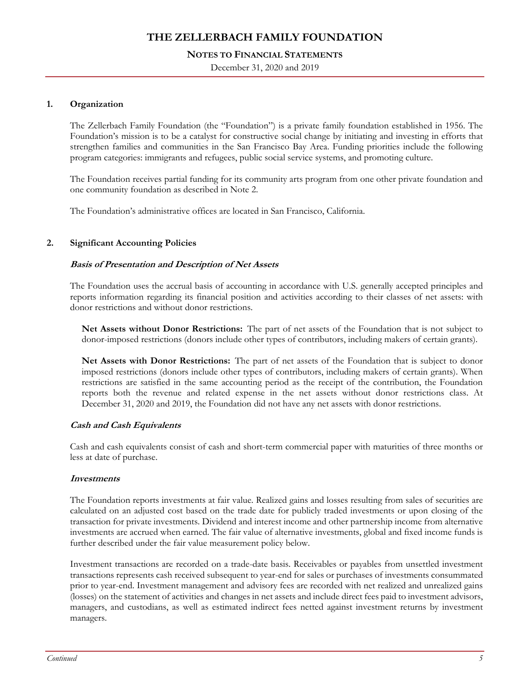### **NOTES TO FINANCIAL STATEMENTS**

December 31, 2020 and 2019

### **1. Organization**

The Zellerbach Family Foundation (the "Foundation") is a private family foundation established in 1956. The Foundation's mission is to be a catalyst for constructive social change by initiating and investing in efforts that strengthen families and communities in the San Francisco Bay Area. Funding priorities include the following program categories: immigrants and refugees, public social service systems, and promoting culture.

The Foundation receives partial funding for its community arts program from one other private foundation and one community foundation as described in Note 2.

The Foundation's administrative offices are located in San Francisco, California.

## **2. Significant Accounting Policies**

### **Basis of Presentation and Description of Net Assets**

The Foundation uses the accrual basis of accounting in accordance with U.S. generally accepted principles and reports information regarding its financial position and activities according to their classes of net assets: with donor restrictions and without donor restrictions.

**Net Assets without Donor Restrictions:** The part of net assets of the Foundation that is not subject to donor-imposed restrictions (donors include other types of contributors, including makers of certain grants).

**Net Assets with Donor Restrictions:** The part of net assets of the Foundation that is subject to donor imposed restrictions (donors include other types of contributors, including makers of certain grants). When restrictions are satisfied in the same accounting period as the receipt of the contribution, the Foundation reports both the revenue and related expense in the net assets without donor restrictions class. At December 31, 2020 and 2019, the Foundation did not have any net assets with donor restrictions.

## **Cash and Cash Equivalents**

Cash and cash equivalents consist of cash and short-term commercial paper with maturities of three months or less at date of purchase.

#### **Investments**

The Foundation reports investments at fair value. Realized gains and losses resulting from sales of securities are calculated on an adjusted cost based on the trade date for publicly traded investments or upon closing of the transaction for private investments. Dividend and interest income and other partnership income from alternative investments are accrued when earned. The fair value of alternative investments, global and fixed income funds is further described under the fair value measurement policy below.

Investment transactions are recorded on a trade-date basis. Receivables or payables from unsettled investment transactions represents cash received subsequent to year-end for sales or purchases of investments consummated prior to year-end. Investment management and advisory fees are recorded with net realized and unrealized gains (losses) on the statement of activities and changes in net assets and include direct fees paid to investment advisors, managers, and custodians, as well as estimated indirect fees netted against investment returns by investment managers.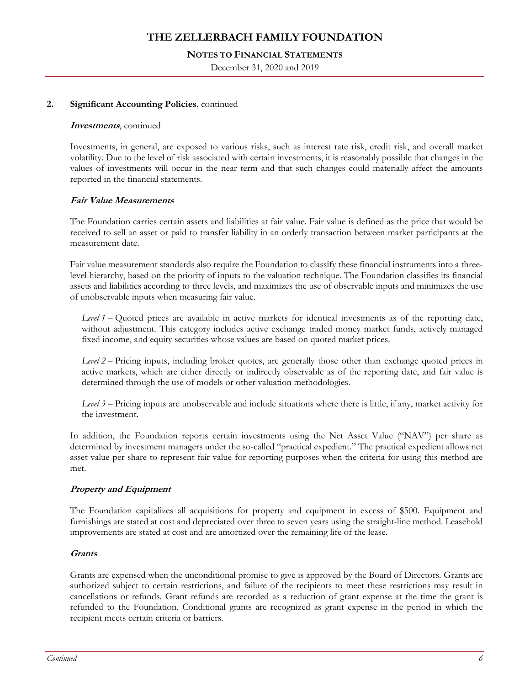### **NOTES TO FINANCIAL STATEMENTS**

December 31, 2020 and 2019

#### **2. Significant Accounting Policies**, continued

#### **Investments**, continued

Investments, in general, are exposed to various risks, such as interest rate risk, credit risk, and overall market volatility. Due to the level of risk associated with certain investments, it is reasonably possible that changes in the values of investments will occur in the near term and that such changes could materially affect the amounts reported in the financial statements.

#### **Fair Value Measurements**

The Foundation carries certain assets and liabilities at fair value. Fair value is defined as the price that would be received to sell an asset or paid to transfer liability in an orderly transaction between market participants at the measurement date.

Fair value measurement standards also require the Foundation to classify these financial instruments into a threelevel hierarchy, based on the priority of inputs to the valuation technique. The Foundation classifies its financial assets and liabilities according to three levels, and maximizes the use of observable inputs and minimizes the use of unobservable inputs when measuring fair value.

*Level 1* – Quoted prices are available in active markets for identical investments as of the reporting date, without adjustment. This category includes active exchange traded money market funds, actively managed fixed income, and equity securities whose values are based on quoted market prices.

*Level 2* – Pricing inputs, including broker quotes, are generally those other than exchange quoted prices in active markets, which are either directly or indirectly observable as of the reporting date, and fair value is determined through the use of models or other valuation methodologies.

*Level 3* – Pricing inputs are unobservable and include situations where there is little, if any, market activity for the investment.

In addition, the Foundation reports certain investments using the Net Asset Value ("NAV") per share as determined by investment managers under the so-called "practical expedient." The practical expedient allows net asset value per share to represent fair value for reporting purposes when the criteria for using this method are met.

#### **Property and Equipment**

The Foundation capitalizes all acquisitions for property and equipment in excess of \$500. Equipment and furnishings are stated at cost and depreciated over three to seven years using the straight-line method. Leasehold improvements are stated at cost and are amortized over the remaining life of the lease.

#### **Grants**

Grants are expensed when the unconditional promise to give is approved by the Board of Directors. Grants are authorized subject to certain restrictions, and failure of the recipients to meet these restrictions may result in cancellations or refunds. Grant refunds are recorded as a reduction of grant expense at the time the grant is refunded to the Foundation. Conditional grants are recognized as grant expense in the period in which the recipient meets certain criteria or barriers.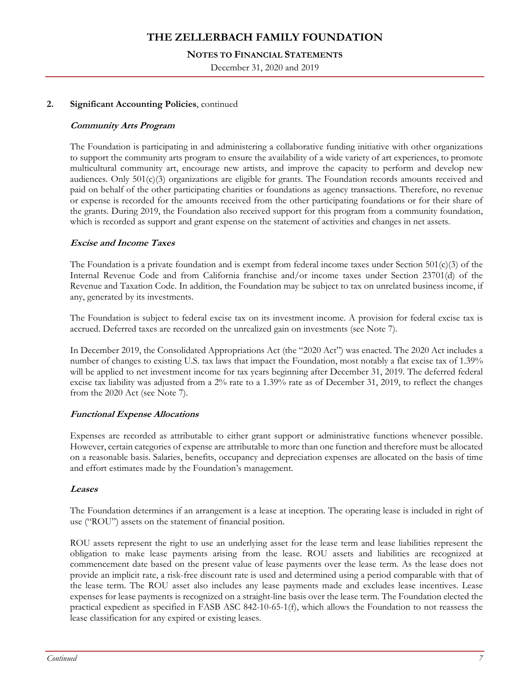## **NOTES TO FINANCIAL STATEMENTS**

December 31, 2020 and 2019

### **2. Significant Accounting Policies**, continued

### **Community Arts Program**

The Foundation is participating in and administering a collaborative funding initiative with other organizations to support the community arts program to ensure the availability of a wide variety of art experiences, to promote multicultural community art, encourage new artists, and improve the capacity to perform and develop new audiences. Only 501(c)(3) organizations are eligible for grants. The Foundation records amounts received and paid on behalf of the other participating charities or foundations as agency transactions. Therefore, no revenue or expense is recorded for the amounts received from the other participating foundations or for their share of the grants. During 2019, the Foundation also received support for this program from a community foundation, which is recorded as support and grant expense on the statement of activities and changes in net assets.

## **Excise and Income Taxes**

The Foundation is a private foundation and is exempt from federal income taxes under Section  $501(c)(3)$  of the Internal Revenue Code and from California franchise and/or income taxes under Section 23701(d) of the Revenue and Taxation Code. In addition, the Foundation may be subject to tax on unrelated business income, if any, generated by its investments.

The Foundation is subject to federal excise tax on its investment income. A provision for federal excise tax is accrued. Deferred taxes are recorded on the unrealized gain on investments (see Note 7).

In December 2019, the Consolidated Appropriations Act (the "2020 Act") was enacted. The 2020 Act includes a number of changes to existing U.S. tax laws that impact the Foundation, most notably a flat excise tax of 1.39% will be applied to net investment income for tax years beginning after December 31, 2019. The deferred federal excise tax liability was adjusted from a 2% rate to a 1.39% rate as of December 31, 2019, to reflect the changes from the 2020 Act (see Note 7).

## **Functional Expense Allocations**

Expenses are recorded as attributable to either grant support or administrative functions whenever possible. However, certain categories of expense are attributable to more than one function and therefore must be allocated on a reasonable basis. Salaries, benefits, occupancy and depreciation expenses are allocated on the basis of time and effort estimates made by the Foundation's management.

## **Leases**

The Foundation determines if an arrangement is a lease at inception. The operating lease is included in right of use ("ROU") assets on the statement of financial position.

ROU assets represent the right to use an underlying asset for the lease term and lease liabilities represent the obligation to make lease payments arising from the lease. ROU assets and liabilities are recognized at commencement date based on the present value of lease payments over the lease term. As the lease does not provide an implicit rate, a risk-free discount rate is used and determined using a period comparable with that of the lease term. The ROU asset also includes any lease payments made and excludes lease incentives. Lease expenses for lease payments is recognized on a straight-line basis over the lease term. The Foundation elected the practical expedient as specified in FASB ASC 842-10-65-1(f), which allows the Foundation to not reassess the lease classification for any expired or existing leases.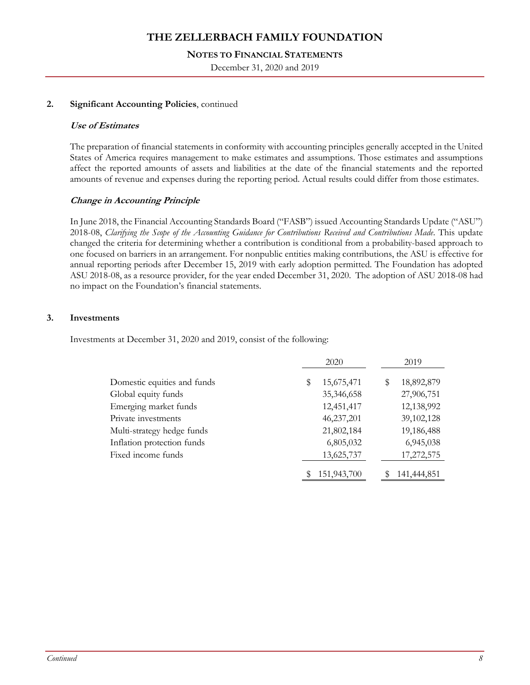**NOTES TO FINANCIAL STATEMENTS**

December 31, 2020 and 2019

#### **2. Significant Accounting Policies**, continued

#### **Use of Estimates**

The preparation of financial statements in conformity with accounting principles generally accepted in the United States of America requires management to make estimates and assumptions. Those estimates and assumptions affect the reported amounts of assets and liabilities at the date of the financial statements and the reported amounts of revenue and expenses during the reporting period. Actual results could differ from those estimates.

### **Change in Accounting Principle**

In June 2018, the Financial Accounting Standards Board ("FASB") issued Accounting Standards Update ("ASU") 2018-08, *Clarifying the Scope of the Accounting Guidance for Contributions Received and Contributions Made*. This update changed the criteria for determining whether a contribution is conditional from a probability-based approach to one focused on barriers in an arrangement. For nonpublic entities making contributions, the ASU is effective for annual reporting periods after December 15, 2019 with early adoption permitted. The Foundation has adopted ASU 2018-08, as a resource provider, for the year ended December 31, 2020. The adoption of ASU 2018-08 had no impact on the Foundation's financial statements.

### **3. Investments**

Investments at December 31, 2020 and 2019, consist of the following:

|                                                    | 2020                           | 2019                          |
|----------------------------------------------------|--------------------------------|-------------------------------|
| Domestic equities and funds<br>Global equity funds | 15,675,471<br>\$<br>35,346,658 | 18,892,879<br>S<br>27,906,751 |
| Emerging market funds                              | 12,451,417                     | 12,138,992                    |
| Private investments                                | 46,237,201                     | 39, 102, 128                  |
| Multi-strategy hedge funds                         | 21,802,184                     | 19,186,488                    |
| Inflation protection funds                         | 6,805,032                      | 6,945,038                     |
| Fixed income funds                                 | 13,625,737                     | 17,272,575                    |
|                                                    | 151,943,700                    | 141,444,851                   |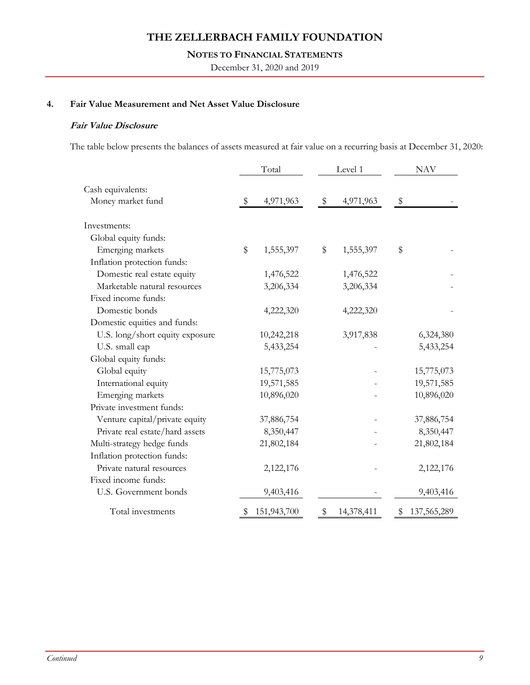### **NOTES TO FINANCIAL STATEMENTS**

December 31, 2020 and 2019

### **4. Fair Value Measurement and Net Asset Value Disclosure**

### **Fair Value Disclosure**

The table below presents the balances of assets measured at fair value on a recurring basis at December 31, 2020:

|                                 | Total             | Level 1 |            | <b>NAV</b>        |  |
|---------------------------------|-------------------|---------|------------|-------------------|--|
| Cash equivalents:               |                   |         |            |                   |  |
| Money market fund               | \$<br>4,971,963   | \$      | 4,971,963  | \$                |  |
| Investments:                    |                   |         |            |                   |  |
| Global equity funds:            |                   |         |            |                   |  |
| Emerging markets                | \$<br>1,555,397   | \$      | 1,555,397  | \$                |  |
| Inflation protection funds:     |                   |         |            |                   |  |
| Domestic real estate equity     | 1,476,522         |         | 1,476,522  |                   |  |
| Marketable natural resources    | 3,206,334         |         | 3,206,334  |                   |  |
| Fixed income funds:             |                   |         |            |                   |  |
| Domestic bonds                  | 4,222,320         |         | 4,222,320  |                   |  |
| Domestic equities and funds:    |                   |         |            |                   |  |
| U.S. long/short equity exposure | 10,242,218        |         | 3,917,838  | 6,324,380         |  |
| U.S. small cap                  | 5,433,254         |         |            | 5,433,254         |  |
| Global equity funds:            |                   |         |            |                   |  |
| Global equity                   | 15,775,073        |         |            | 15,775,073        |  |
| International equity            | 19,571,585        |         |            | 19,571,585        |  |
| Emerging markets                | 10,896,020        |         |            | 10,896,020        |  |
| Private investment funds:       |                   |         |            |                   |  |
| Venture capital/private equity  | 37,886,754        |         |            | 37,886,754        |  |
| Private real estate/hard assets | 8,350,447         |         |            | 8,350,447         |  |
| Multi-strategy hedge funds      | 21,802,184        |         |            | 21,802,184        |  |
| Inflation protection funds:     |                   |         |            |                   |  |
| Private natural resources       | 2,122,176         |         |            | 2,122,176         |  |
| Fixed income funds:             |                   |         |            |                   |  |
| U.S. Government bonds           | 9,403,416         |         |            | 9,403,416         |  |
| Total investments               | \$<br>151,943,700 | \$      | 14,378,411 | \$<br>137,565,289 |  |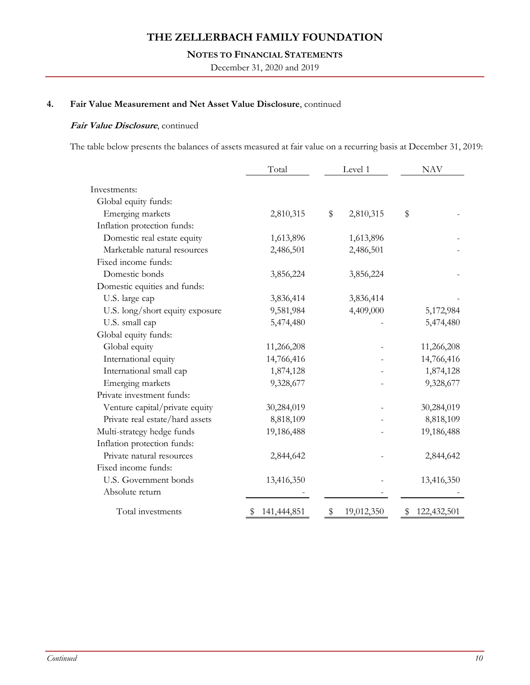### **NOTES TO FINANCIAL STATEMENTS**

December 31, 2020 and 2019

### **4. Fair Value Measurement and Net Asset Value Disclosure**, continued

### **Fair Value Disclosure**, continued

The table below presents the balances of assets measured at fair value on a recurring basis at December 31, 2019:

|                                 | Total             | Level 1          | <b>NAV</b>        |
|---------------------------------|-------------------|------------------|-------------------|
| Investments:                    |                   |                  |                   |
| Global equity funds:            |                   |                  |                   |
| Emerging markets                | 2,810,315         | \$<br>2,810,315  | \$                |
| Inflation protection funds:     |                   |                  |                   |
| Domestic real estate equity     | 1,613,896         | 1,613,896        |                   |
| Marketable natural resources    | 2,486,501         | 2,486,501        |                   |
| Fixed income funds:             |                   |                  |                   |
| Domestic bonds                  | 3,856,224         | 3,856,224        |                   |
| Domestic equities and funds:    |                   |                  |                   |
| U.S. large cap                  | 3,836,414         | 3,836,414        |                   |
| U.S. long/short equity exposure | 9,581,984         | 4,409,000        | 5,172,984         |
| U.S. small cap                  | 5,474,480         |                  | 5,474,480         |
| Global equity funds:            |                   |                  |                   |
| Global equity                   | 11,266,208        |                  | 11,266,208        |
| International equity            | 14,766,416        |                  | 14,766,416        |
| International small cap         | 1,874,128         |                  | 1,874,128         |
| Emerging markets                | 9,328,677         |                  | 9,328,677         |
| Private investment funds:       |                   |                  |                   |
| Venture capital/private equity  | 30,284,019        |                  | 30,284,019        |
| Private real estate/hard assets | 8,818,109         |                  | 8,818,109         |
| Multi-strategy hedge funds      | 19,186,488        |                  | 19,186,488        |
| Inflation protection funds:     |                   |                  |                   |
| Private natural resources       | 2,844,642         |                  | 2,844,642         |
| Fixed income funds:             |                   |                  |                   |
| U.S. Government bonds           | 13,416,350        |                  | 13,416,350        |
| Absolute return                 |                   |                  |                   |
| Total investments               | 141,444,851<br>\$ | 19,012,350<br>\$ | 122,432,501<br>\$ |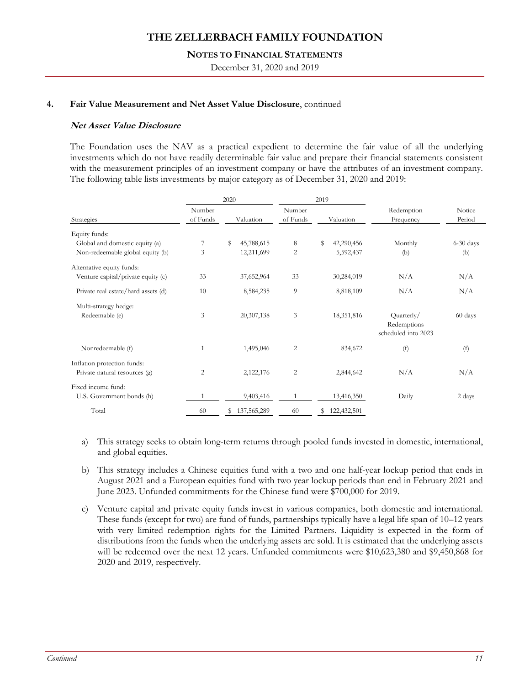#### **NOTES TO FINANCIAL STATEMENTS**

December 31, 2020 and 2019

#### **4. Fair Value Measurement and Net Asset Value Disclosure**, continued

#### **Net Asset Value Disclosure**

The Foundation uses the NAV as a practical expedient to determine the fair value of all the underlying investments which do not have readily determinable fair value and prepare their financial statements consistent with the measurement principles of an investment company or have the attributes of an investment company. The following table lists investments by major category as of December 31, 2020 and 2019:

|                                     |                    | 2020 |             | 2019               |   |             |                                                  |                  |
|-------------------------------------|--------------------|------|-------------|--------------------|---|-------------|--------------------------------------------------|------------------|
| Strategies                          | Number<br>of Funds |      | Valuation   | Number<br>of Funds |   | Valuation   | Redemption<br>Frequency                          | Notice<br>Period |
| Equity funds:                       |                    |      |             |                    |   |             |                                                  |                  |
| Global and domestic equity (a)      | 7                  | \$   | 45,788,615  | 8                  | S | 42,290,456  | Monthly                                          | $6-30$ days      |
| Non-redeemable global equity (b)    | 3                  |      | 12,211,699  | $\mathbf{2}$       |   | 5,592,437   | (b)                                              | (b)              |
| Alternative equity funds:           |                    |      |             |                    |   |             |                                                  |                  |
| Venture capital/private equity (c)  | 33                 |      | 37,652,964  | 33                 |   | 30,284,019  | N/A                                              | N/A              |
| Private real estate/hard assets (d) | 10                 |      | 8,584,235   | 9                  |   | 8,818,109   | N/A                                              | N/A              |
| Multi-strategy hedge:               |                    |      |             |                    |   |             |                                                  |                  |
| Redeemable (e)                      | 3                  |      | 20,307,138  | 3                  |   | 18,351,816  | Quarterly/<br>Redemptions<br>scheduled into 2023 | 60 days          |
| Nonredeemable (f)                   | $\mathbf{1}$       |      | 1,495,046   | 2                  |   | 834,672     | (f)                                              | (f)              |
| Inflation protection funds:         |                    |      |             |                    |   |             |                                                  |                  |
| Private natural resources (g)       | 2                  |      | 2,122,176   | $\mathbf{2}$       |   | 2,844,642   | N/A                                              | N/A              |
| Fixed income fund:                  |                    |      |             |                    |   |             |                                                  |                  |
| U.S. Government bonds (h)           |                    |      | 9,403,416   |                    |   | 13,416,350  | Daily                                            | 2 days           |
| Total                               | 60                 | S    | 137,565,289 | 60                 | S | 122,432,501 |                                                  |                  |

- a) This strategy seeks to obtain long-term returns through pooled funds invested in domestic, international, and global equities.
- b) This strategy includes a Chinese equities fund with a two and one half-year lockup period that ends in August 2021 and a European equities fund with two year lockup periods than end in February 2021 and June 2023. Unfunded commitments for the Chinese fund were \$700,000 for 2019.
- c) Venture capital and private equity funds invest in various companies, both domestic and international. These funds (except for two) are fund of funds, partnerships typically have a legal life span of 10–12 years with very limited redemption rights for the Limited Partners. Liquidity is expected in the form of distributions from the funds when the underlying assets are sold. It is estimated that the underlying assets will be redeemed over the next 12 years. Unfunded commitments were \$10,623,380 and \$9,450,868 for 2020 and 2019, respectively.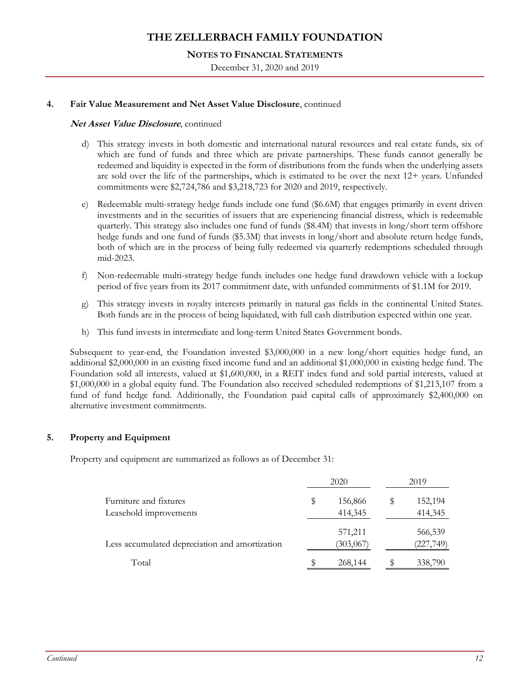### **NOTES TO FINANCIAL STATEMENTS**

December 31, 2020 and 2019

#### **4. Fair Value Measurement and Net Asset Value Disclosure**, continued

#### **Net Asset Value Disclosure**, continued

- d) This strategy invests in both domestic and international natural resources and real estate funds, six of which are fund of funds and three which are private partnerships. These funds cannot generally be redeemed and liquidity is expected in the form of distributions from the funds when the underlying assets are sold over the life of the partnerships, which is estimated to be over the next 12+ years. Unfunded commitments were \$2,724,786 and \$3,218,723 for 2020 and 2019, respectively.
- e) Redeemable multi-strategy hedge funds include one fund (\$6.6M) that engages primarily in event driven investments and in the securities of issuers that are experiencing financial distress, which is redeemable quarterly. This strategy also includes one fund of funds (\$8.4M) that invests in long/short term offshore hedge funds and one fund of funds (\$5.3M) that invests in long/short and absolute return hedge funds, both of which are in the process of being fully redeemed via quarterly redemptions scheduled through mid-2023.
- f) Non-redeemable multi-strategy hedge funds includes one hedge fund drawdown vehicle with a lockup period of five years from its 2017 commitment date, with unfunded commitments of \$1.1M for 2019.
- g) This strategy invests in royalty interests primarily in natural gas fields in the continental United States. Both funds are in the process of being liquidated, with full cash distribution expected within one year.
- h) This fund invests in intermediate and long-term United States Government bonds.

Subsequent to year-end, the Foundation invested \$3,000,000 in a new long/short equities hedge fund, an additional \$2,000,000 in an existing fixed income fund and an additional \$1,000,000 in existing hedge fund. The Foundation sold all interests, valued at \$1,600,000, in a REIT index fund and sold partial interests, valued at \$1,000,000 in a global equity fund. The Foundation also received scheduled redemptions of \$1,213,107 from a fund of fund hedge fund. Additionally, the Foundation paid capital calls of approximately \$2,400,000 on alternative investment commitments.

## **5. Property and Equipment**

Property and equipment are summarized as follows as of December 31:

|                                                |    | 2020      | 2019       |  |
|------------------------------------------------|----|-----------|------------|--|
| Furniture and fixtures                         | \$ | 156,866   | 152,194    |  |
| Leasehold improvements                         |    | 414,345   | 414,345    |  |
|                                                |    | 571,211   | 566,539    |  |
| Less accumulated depreciation and amortization |    | (303,067) | (227, 749) |  |
| Total                                          |    | 268,144   | 338,790    |  |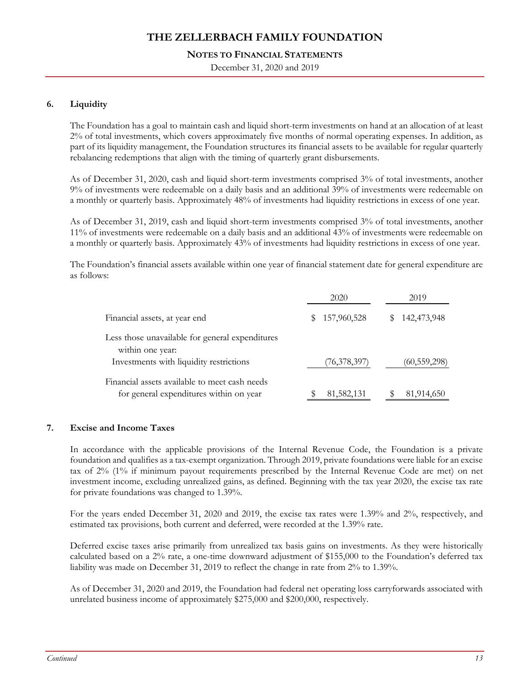## **NOTES TO FINANCIAL STATEMENTS**

December 31, 2020 and 2019

## **6. Liquidity**

The Foundation has a goal to maintain cash and liquid short-term investments on hand at an allocation of at least 2% of total investments, which covers approximately five months of normal operating expenses. In addition, as part of its liquidity management, the Foundation structures its financial assets to be available for regular quarterly rebalancing redemptions that align with the timing of quarterly grant disbursements.

As of December 31, 2020, cash and liquid short-term investments comprised 3% of total investments, another 9% of investments were redeemable on a daily basis and an additional 39% of investments were redeemable on a monthly or quarterly basis. Approximately 48% of investments had liquidity restrictions in excess of one year.

As of December 31, 2019, cash and liquid short-term investments comprised 3% of total investments, another 11% of investments were redeemable on a daily basis and an additional 43% of investments were redeemable on a monthly or quarterly basis. Approximately 43% of investments had liquidity restrictions in excess of one year.

The Foundation's financial assets available within one year of financial statement date for general expenditure are as follows:

|                                                                                          | 2020             | 2019             |
|------------------------------------------------------------------------------------------|------------------|------------------|
| Financial assets, at year end                                                            | 157,960,528<br>S | 142,473,948<br>S |
| Less those unavailable for general expenditures<br>within one year:                      |                  |                  |
| Investments with liquidity restrictions                                                  | (76, 378, 397)   | (60, 559, 298)   |
| Financial assets available to meet cash needs<br>for general expenditures within on year | 81,582,131       | 81,914,650       |

#### **7. Excise and Income Taxes**

In accordance with the applicable provisions of the Internal Revenue Code, the Foundation is a private foundation and qualifies as a tax-exempt organization. Through 2019, private foundations were liable for an excise tax of 2% (1% if minimum payout requirements prescribed by the Internal Revenue Code are met) on net investment income, excluding unrealized gains, as defined. Beginning with the tax year 2020, the excise tax rate for private foundations was changed to 1.39%.

For the years ended December 31, 2020 and 2019, the excise tax rates were 1.39% and 2%, respectively, and estimated tax provisions, both current and deferred, were recorded at the 1.39% rate.

Deferred excise taxes arise primarily from unrealized tax basis gains on investments. As they were historically calculated based on a 2% rate, a one-time downward adjustment of \$155,000 to the Foundation's deferred tax liability was made on December 31, 2019 to reflect the change in rate from 2% to 1.39%.

As of December 31, 2020 and 2019, the Foundation had federal net operating loss carryforwards associated with unrelated business income of approximately \$275,000 and \$200,000, respectively.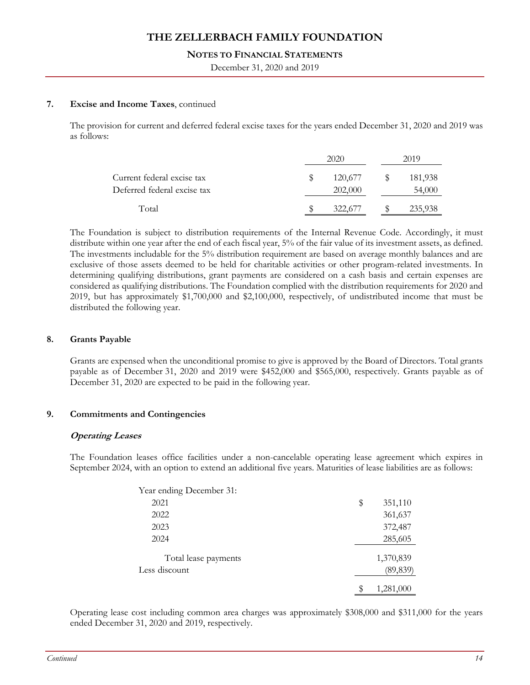## **NOTES TO FINANCIAL STATEMENTS**

December 31, 2020 and 2019

#### **7. Excise and Income Taxes**, continued

The provision for current and deferred federal excise taxes for the years ended December 31, 2020 and 2019 was as follows:

|                             | 2020    |  |         |
|-----------------------------|---------|--|---------|
| Current federal excise tax  | 120,677 |  | 181,938 |
| Deferred federal excise tax | 202,000 |  | 54,000  |
| Total                       | 322,677 |  | 235,938 |

The Foundation is subject to distribution requirements of the Internal Revenue Code. Accordingly, it must distribute within one year after the end of each fiscal year, 5% of the fair value of its investment assets, as defined. The investments includable for the 5% distribution requirement are based on average monthly balances and are exclusive of those assets deemed to be held for charitable activities or other program-related investments. In determining qualifying distributions, grant payments are considered on a cash basis and certain expenses are considered as qualifying distributions. The Foundation complied with the distribution requirements for 2020 and 2019, but has approximately \$1,700,000 and \$2,100,000, respectively, of undistributed income that must be distributed the following year.

## **8. Grants Payable**

Grants are expensed when the unconditional promise to give is approved by the Board of Directors. Total grants payable as of December 31, 2020 and 2019 were \$452,000 and \$565,000, respectively. Grants payable as of December 31, 2020 are expected to be paid in the following year.

## **9. Commitments and Contingencies**

#### **Operating Leases**

The Foundation leases office facilities under a non-cancelable operating lease agreement which expires in September 2024, with an option to extend an additional five years. Maturities of lease liabilities are as follows:

| Year ending December 31: |                 |
|--------------------------|-----------------|
| 2021                     | \$<br>351,110   |
| 2022                     | 361,637         |
| 2023                     | 372,487         |
| 2024                     | 285,605         |
| Total lease payments     | 1,370,839       |
| Less discount            | (89, 839)       |
|                          | \$<br>1,281,000 |

Operating lease cost including common area charges was approximately \$308,000 and \$311,000 for the years ended December 31, 2020 and 2019, respectively.